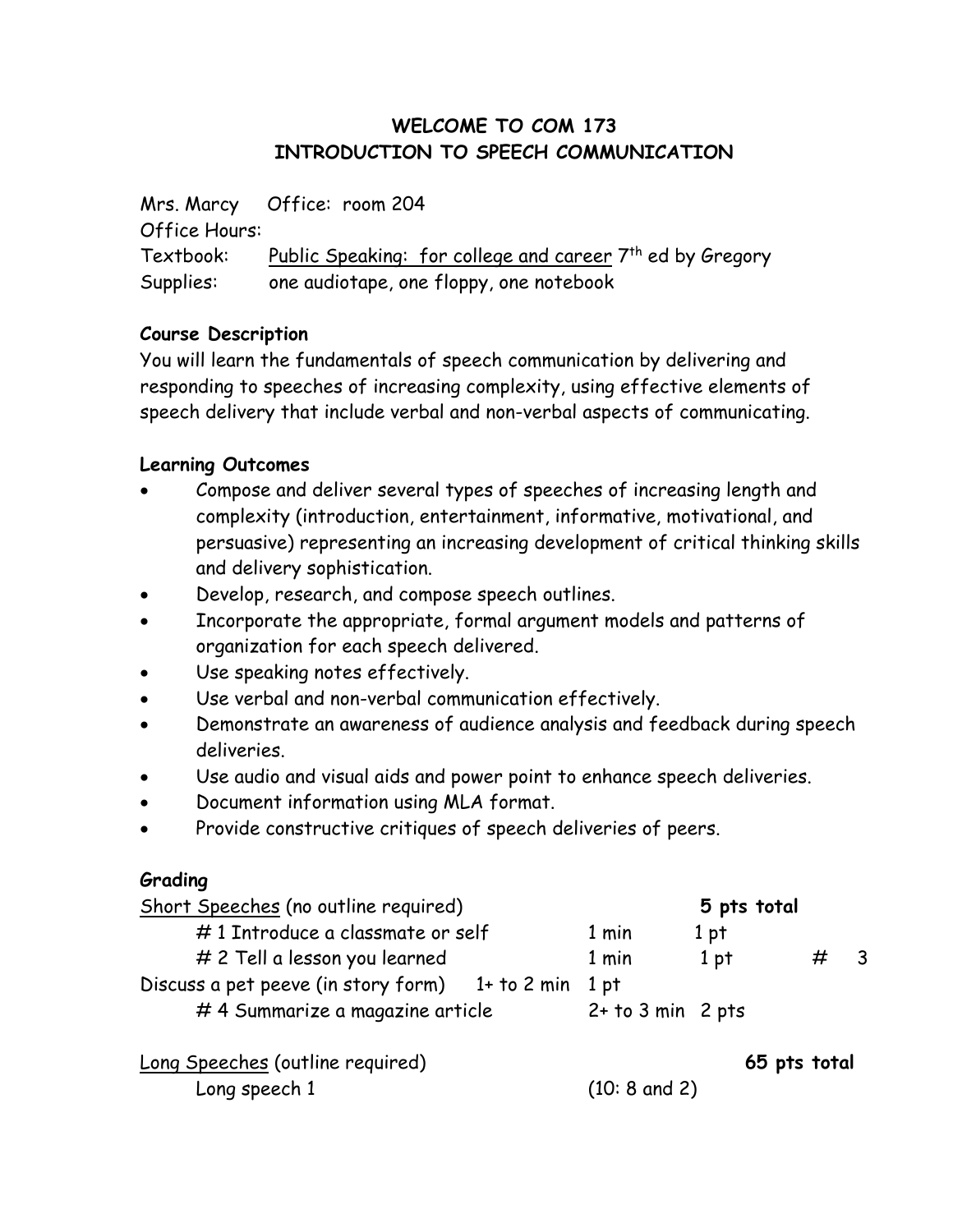# **WELCOME TO COM 173 INTRODUCTION TO SPEECH COMMUNICATION**

Mrs. Marcy Office: room 204 Office Hours: Textbook: Public Speaking: for college and career 7th ed by Gregory Supplies: one audiotape, one floppy, one notebook

## **Course Description**

You will learn the fundamentals of speech communication by delivering and responding to speeches of increasing complexity, using effective elements of speech delivery that include verbal and non-verbal aspects of communicating.

## **Learning Outcomes**

- Compose and deliver several types of speeches of increasing length and complexity (introduction, entertainment, informative, motivational, and persuasive) representing an increasing development of critical thinking skills and delivery sophistication.
- Develop, research, and compose speech outlines.
- Incorporate the appropriate, formal argument models and patterns of organization for each speech delivered.
- Use speaking notes effectively.
- Use verbal and non-verbal communication effectively.
- Demonstrate an awareness of audience analysis and feedback during speech deliveries.
- Use audio and visual aids and power point to enhance speech deliveries.
- Document information using MLA format.
- Provide constructive critiques of speech deliveries of peers.

#### **Grading**

| Short Speeches (no outline required)                 |                         | 5 pts total     |   |  |
|------------------------------------------------------|-------------------------|-----------------|---|--|
| #1 Introduce a classmate or self                     | 1 min                   | 1 pt            |   |  |
| # 2 Tell a lesson you learned                        | 1 min                   | 1 <sub>pt</sub> | ₩ |  |
| Discuss a pet peeve (in story form) 1+ to 2 min 1 pt |                         |                 |   |  |
| #4 Summarize a magazine article                      | $2+$ to $3$ min $2$ pts |                 |   |  |
|                                                      |                         |                 |   |  |

Long Speeches (outline required) **65 pts total** Long speech 1 (10: 8 and 2)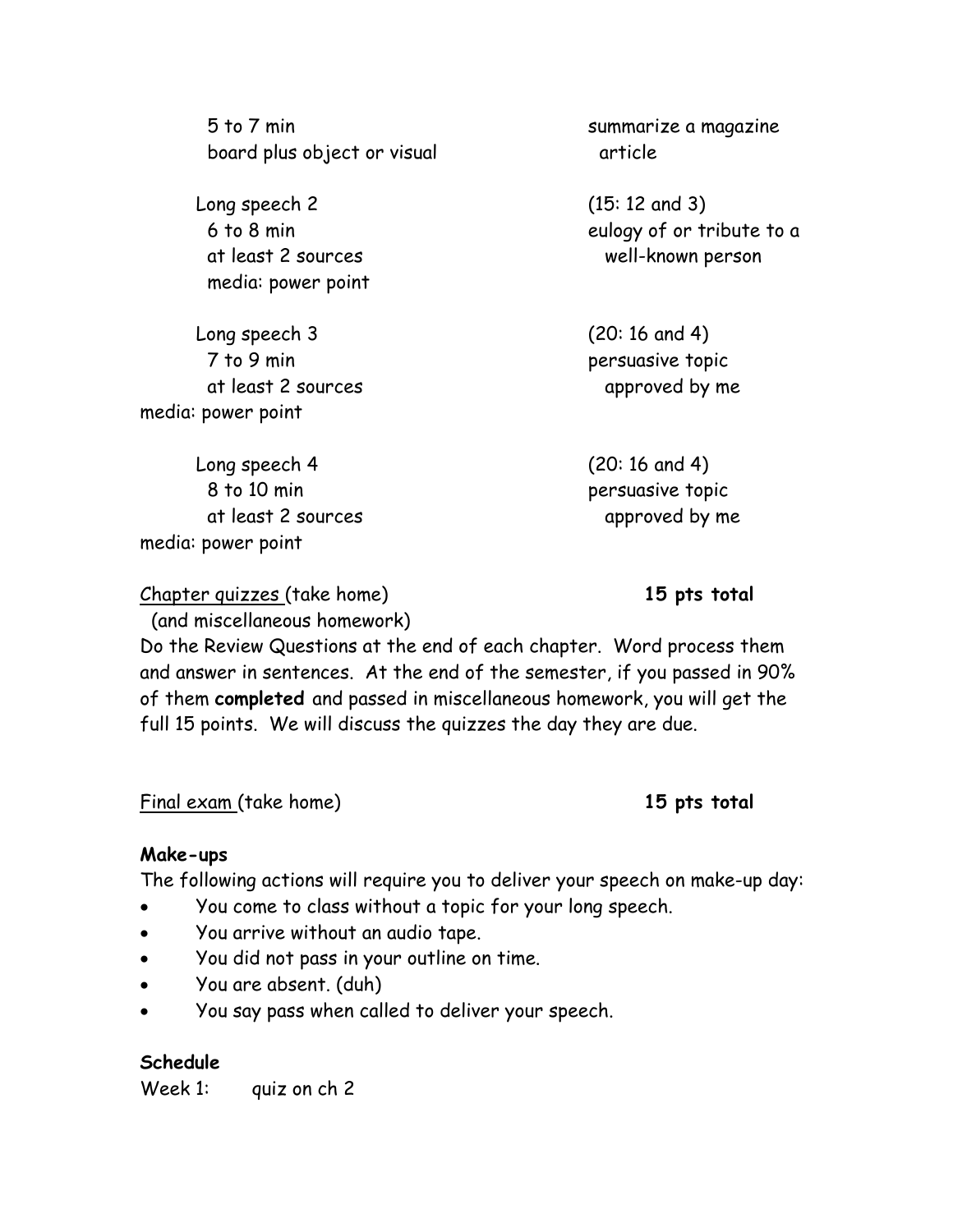5 to 7 min summarize a magazine board plus object or visual article

Long speech 2 (15: 12 and 3) media: power point

Long speech 3 (20: 16 and 4) 7 to 9 min persuasive topic at least 2 sources approved by me media: power point

Long speech 4 (20: 16 and 4) 8 to 10 min extended to persuasive topic at least 2 sources approved by me media: power point

Chapter quizzes (take home) **15 pts total**

(and miscellaneous homework)

Do the Review Questions at the end of each chapter. Word process them and answer in sentences. At the end of the semester, if you passed in 90% of them **completed** and passed in miscellaneous homework, you will get the full 15 points. We will discuss the quizzes the day they are due.

Final exam (take home) **15 pts total**

#### **Make-ups**

The following actions will require you to deliver your speech on make-up day:

- You come to class without a topic for your long speech.
- You arrive without an audio tape.
- You did not pass in your outline on time.
- You are absent. (duh)
- You say pass when called to deliver your speech.

#### **Schedule**

Week 1: quiz on ch 2

 6 to 8 min eulogy of or tribute to a at least 2 sources well-known person